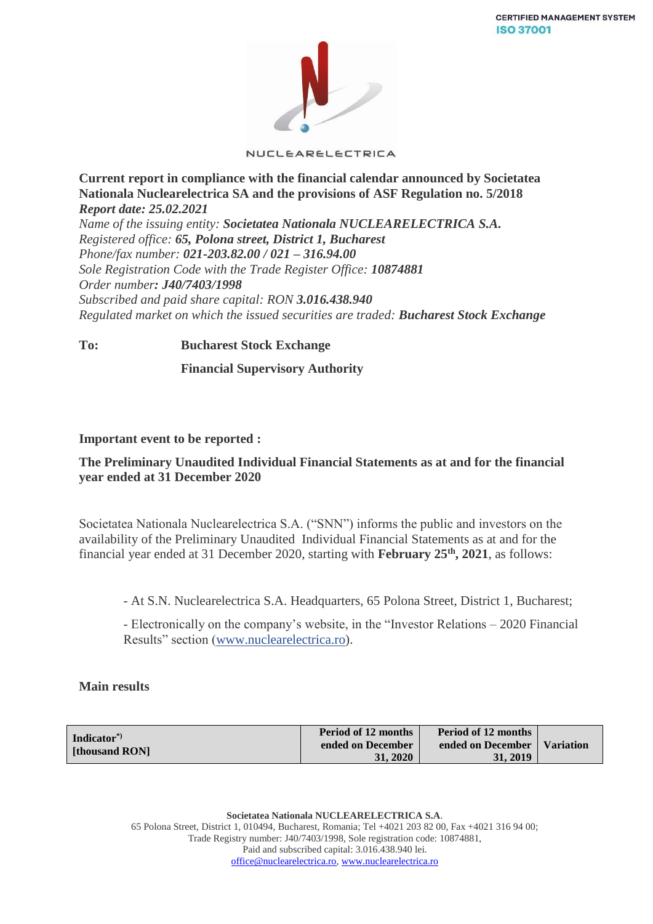

NUCLEARELECTRICA

**Current report in compliance with the financial calendar announced by Societatea Nationala Nuclearelectrica SA and the provisions of ASF Regulation no. 5/2018** *Report date: 25.02.2021*

*Name of the issuing entity: Societatea Nationala NUCLEARELECTRICA S.A. Registered office: 65, Polona street, District 1, Bucharest Phone/fax number: 021-203.82.00 / 021 – 316.94.00 Sole Registration Code with the Trade Register Office: 10874881 Order number: J40/7403/1998 Subscribed and paid share capital: RON 3.016.438.940 Regulated market on which the issued securities are traded: Bucharest Stock Exchange*

**To: Bucharest Stock Exchange**

 **Financial Supervisory Authority**

## **Important event to be reported :**

## **The Preliminary Unaudited Individual Financial Statements as at and for the financial year ended at 31 December 2020**

Societatea Nationala Nuclearelectrica S.A. ("SNN") informs the public and investors on the availability of the Preliminary Unaudited Individual Financial Statements as at and for the financial year ended at 31 December 2020, starting with **February 25 th, 2021**, as follows:

- At S.N. Nuclearelectrica S.A. Headquarters, 65 Polona Street, District 1, Bucharest;

- Electronically on the company's website, in the "Investor Relations – 2020 Financial Results" section [\(www.nuclearelectrica.ro\)](http://www.nuclearelectrica.ro/).

## **Main results**

| Indicator <sup>*</sup><br>[thousand RON] | Period of 12 months<br>ended on December | <b>Period of 12 months</b><br>ended on December | <b>Variation</b> |
|------------------------------------------|------------------------------------------|-------------------------------------------------|------------------|
|                                          | 31, 2020                                 | 31, 2019                                        |                  |

**Societatea Nationala NUCLEARELECTRICA S.A**. 65 Polona Street, District 1, 010494, Bucharest, Romania; Tel +4021 203 82 00, Fax +4021 316 94 00; Trade Registry number: J40/7403/1998, Sole registration code: 10874881, Paid and subscribed capital: 3.016.438.940 lei. [office@nuclearelectrica.ro,](mailto:office@nuclearelectrica.ro) [www.nuclearelectrica.ro](http://www.nuclearelectrica.ro/)